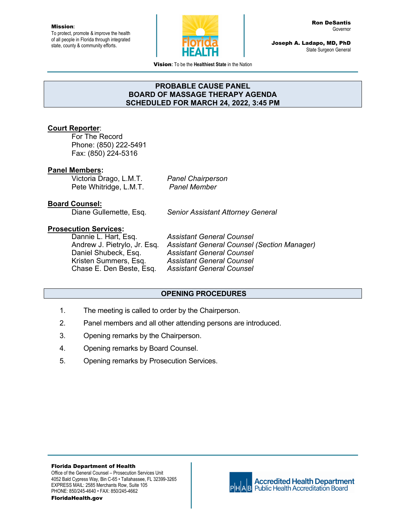To protect, promote & improve the health of all people in Florida through integrated state, county & community efforts.



Joseph A. Ladapo, MD, PhD State Surgeon General

Vision**:** To be the **Healthiest State** in the Nation

### **PROBABLE CAUSE PANEL BOARD OF MASSAGE THERAPY AGENDA SCHEDULED FOR MARCH 24, 2022, 3:45 PM**

## **Court Reporter**:

For The Record Phone: (850) 222-5491 Fax: (850) 224-5316

### **Panel Members:**

Victoria Drago, L.M.T. *Panel Chairperson*  Pete Whitridge, L.M.T. *Panel Member* 

### **Board Counsel:**

Diane Gullemette, Esq. *Senior Assistant Attorney General* 

# **Prosecution Services:**

Daniel Shubeck, Esq. *Assistant General Counsel*  Kristen Summers, Esq. *Assistant General Counsel*  Chase E. Den Beste, Esq. *Assistant General Counsel* 

Dannie L. Hart, Esq. *Assistant General Counsel*  Andrew J. Pietrylo, Jr. Esq*. Assistant General Counsel (Section Manager)* 

### **OPENING PROCEDURES**

- 1. The meeting is called to order by the Chairperson.
- 2. Panel members and all other attending persons are introduced.
- 3. Opening remarks by the Chairperson.
- 4. Opening remarks by Board Counsel.
- 5. Opening remarks by Prosecution Services.

Florida Department of Health Office of the General Counsel – Prosecution Services Unit 4052 Bald Cypress Way, Bin C-65 • Tallahassee, FL 32399-3265 EXPRESS MAIL: 2585 Merchants Row, Suite 105 PHONE: 850/245-4640 • FAX: 850/245-4662